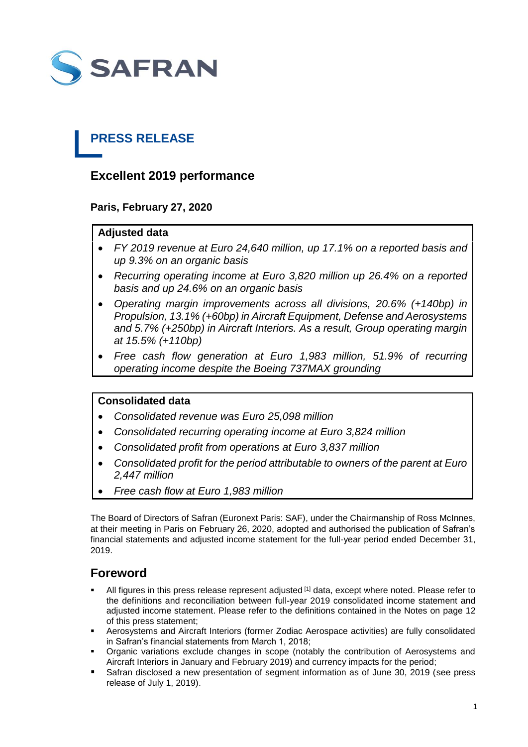

## **PRESS RELEASE**

## **Excellent 2019 performance**

**Paris, February 27, 2020**

## **Adjusted data**

- *FY 2019 revenue at Euro 24,640 million, up 17.1% on a reported basis and up 9.3% on an organic basis*
- *Recurring operating income at Euro 3,820 million up 26.4% on a reported basis and up 24.6% on an organic basis*
- *Operating margin improvements across all divisions, 20.6% (+140bp) in Propulsion, 13.1% (+60bp) in Aircraft Equipment, Defense and Aerosystems and 5.7% (+250bp) in Aircraft Interiors. As a result, Group operating margin at 15.5% (+110bp)*
- *Free cash flow generation at Euro 1,983 million, 51.9% of recurring operating income despite the Boeing 737MAX grounding*

## **Consolidated data**

- *Consolidated revenue was Euro 25,098 million*
- *Consolidated recurring operating income at Euro 3,824 million*
- *Consolidated profit from operations at Euro 3,837 million*
- *Consolidated profit for the period attributable to owners of the parent at Euro 2,447 million*
- *Free cash flow at Euro 1,983 million*

The Board of Directors of Safran (Euronext Paris: SAF), under the Chairmanship of Ross McInnes, at their meeting in Paris on February 26, 2020, adopted and authorised the publication of Safran's financial statements and adjusted income statement for the full-year period ended December 31, 2019.

## **Foreword**

- All figures in this press release represent adjusted <sup>[1]</sup> data, except where noted. Please refer to the definitions and reconciliation between full-year 2019 consolidated income statement and adjusted income statement. Please refer to the definitions contained in the Notes on page 12 of this press statement;
- Aerosystems and Aircraft Interiors (former Zodiac Aerospace activities) are fully consolidated in Safran's financial statements from March 1, 2018;
- Organic variations exclude changes in scope (notably the contribution of Aerosystems and Aircraft Interiors in January and February 2019) and currency impacts for the period;
- Safran disclosed a new presentation of segment information as of June 30, 2019 (see press release of July 1, 2019).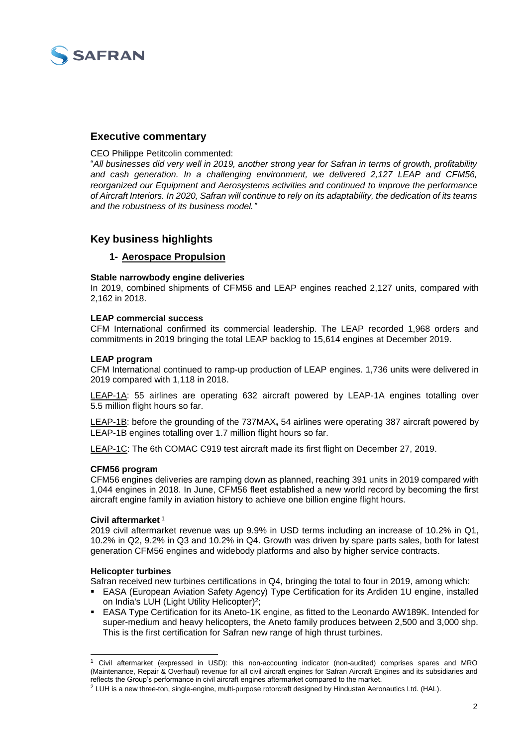

## **Executive commentary**

CEO Philippe Petitcolin commented:

"*All businesses did very well in 2019, another strong year for Safran in terms of growth, profitability and cash generation. In a challenging environment, we delivered 2,127 LEAP and CFM56, reorganized our Equipment and Aerosystems activities and continued to improve the performance of Aircraft Interiors. In 2020, Safran will continue to rely on its adaptability, the dedication of its teams and the robustness of its business model."*

## **Key business highlights**

#### **1- Aerospace Propulsion**

#### **Stable narrowbody engine deliveries**

In 2019, combined shipments of CFM56 and LEAP engines reached 2,127 units, compared with 2,162 in 2018.

#### **LEAP commercial success**

CFM International confirmed its commercial leadership. The LEAP recorded 1,968 orders and commitments in 2019 bringing the total LEAP backlog to 15,614 engines at December 2019.

#### **LEAP program**

CFM International continued to ramp-up production of LEAP engines. 1,736 units were delivered in 2019 compared with 1,118 in 2018.

LEAP-1A: 55 airlines are operating 632 aircraft powered by LEAP-1A engines totalling over 5.5 million flight hours so far.

LEAP-1B: before the grounding of the 737MAX**,** 54 airlines were operating 387 aircraft powered by LEAP-1B engines totalling over 1.7 million flight hours so far.

LEAP-1C: The 6th COMAC C919 test aircraft made its first flight on December 27, 2019.

#### **CFM56 program**

CFM56 engines deliveries are ramping down as planned, reaching 391 units in 2019 compared with 1,044 engines in 2018. In June, CFM56 fleet established a new world record by becoming the first aircraft engine family in aviation history to achieve one billion engine flight hours.

#### **Civil aftermarket** <sup>1</sup>

2019 civil aftermarket revenue was up 9.9% in USD terms including an increase of 10.2% in Q1, 10.2% in Q2, 9.2% in Q3 and 10.2% in Q4. Growth was driven by spare parts sales, both for latest generation CFM56 engines and widebody platforms and also by higher service contracts.

#### **Helicopter turbines**

1

Safran received new turbines certifications in Q4, bringing the total to four in 2019, among which:

- EASA (European Aviation Safety Agency) Type Certification for its Ardiden 1U engine, installed on India's LUH (Light Utility Helicopter) 2 ;
- EASA Type Certification for its Aneto-1K engine, as fitted to the Leonardo AW189K. Intended for super-medium and heavy helicopters, the Aneto family produces between 2,500 and 3,000 shp. This is the first certification for Safran new range of high thrust turbines.

<sup>1</sup> Civil aftermarket (expressed in USD): this non-accounting indicator (non-audited) comprises spares and MRO (Maintenance, Repair & Overhaul) revenue for all civil aircraft engines for Safran Aircraft Engines and its subsidiaries and reflects the Group's performance in civil aircraft engines aftermarket compared to the market.

<sup>&</sup>lt;sup>2</sup> LUH is a new three-ton, single-engine, multi-purpose rotorcraft designed by Hindustan Aeronautics Ltd. (HAL).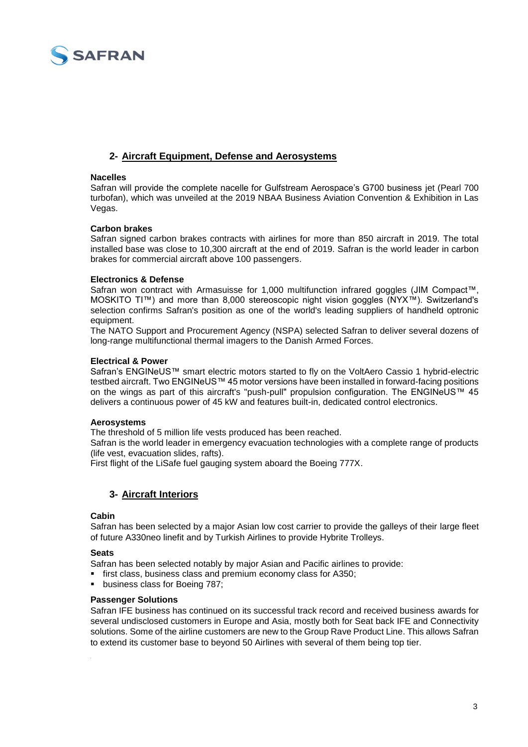

## **2- Aircraft Equipment, Defense and Aerosystems**

#### **Nacelles**

Safran will provide the complete nacelle for Gulfstream Aerospace's G700 business jet (Pearl 700 turbofan), which was unveiled at the 2019 NBAA Business Aviation Convention & Exhibition in Las Vegas.

#### **Carbon brakes**

Safran signed carbon brakes contracts with airlines for more than 850 aircraft in 2019. The total installed base was close to 10,300 aircraft at the end of 2019. Safran is the world leader in carbon brakes for commercial aircraft above 100 passengers.

#### **Electronics & Defense**

Safran won contract with Armasuisse for 1,000 multifunction infrared goggles (JIM Compact™, MOSKITO TI™) and more than 8,000 stereoscopic night vision goggles (NYX™). Switzerland's selection confirms Safran's position as one of the world's leading suppliers of handheld optronic equipment.

The NATO Support and Procurement Agency (NSPA) selected Safran to deliver several dozens of long-range multifunctional thermal imagers to the Danish Armed Forces.

#### **Electrical & Power**

Safran's ENGINeUS™ smart electric motors started to fly on the VoltAero Cassio 1 hybrid-electric testbed aircraft. Two ENGINeUS™ 45 motor versions have been installed in forward-facing positions on the wings as part of this aircraft's "push-pull" propulsion configuration. The ENGINeUS™ 45 delivers a continuous power of 45 kW and features built-in, dedicated control electronics.

#### **Aerosystems**

The threshold of 5 million life vests produced has been reached.

Safran is the world leader in emergency evacuation technologies with a complete range of products (life vest, evacuation slides, rafts).

First flight of the LiSafe fuel gauging system aboard the Boeing 777X.

#### **3- Aircraft Interiors**

#### **Cabin**

Safran has been selected by a major Asian low cost carrier to provide the galleys of their large fleet of future A330neo linefit and by Turkish Airlines to provide Hybrite Trolleys.

#### **Seats**

Safran has been selected notably by major Asian and Pacific airlines to provide:

- first class, business class and premium economy class for A350;
- **business class for Boeing 787;**

#### **Passenger Solutions**

Safran IFE business has continued on its successful track record and received business awards for several undisclosed customers in Europe and Asia, mostly both for Seat back IFE and Connectivity solutions. Some of the airline customers are new to the Group Rave Product Line. This allows Safran to extend its customer base to beyond 50 Airlines with several of them being top tier.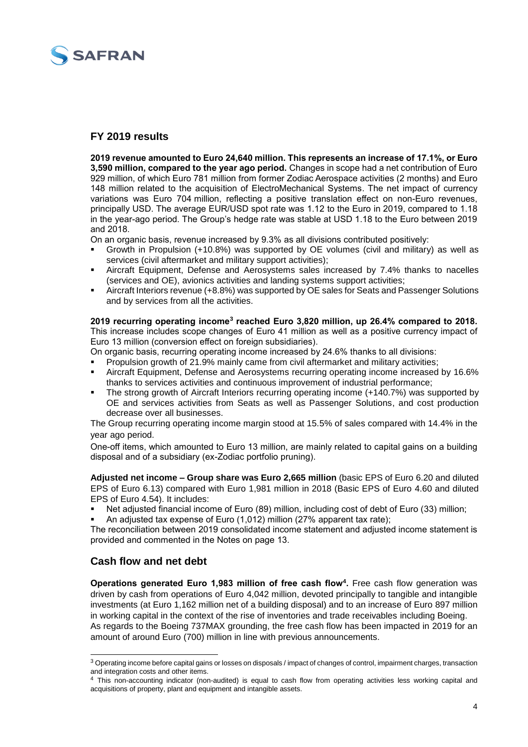

## **FY 2019 results**

**2019 revenue amounted to Euro 24,640 million. This represents an increase of 17.1%, or Euro 3,590 million, compared to the year ago period.** Changes in scope had a net contribution of Euro 929 million, of which Euro 781 million from former Zodiac Aerospace activities (2 months) and Euro 148 million related to the acquisition of ElectroMechanical Systems. The net impact of currency variations was Euro 704 million, reflecting a positive translation effect on non-Euro revenues, principally USD. The average EUR/USD spot rate was 1.12 to the Euro in 2019, compared to 1.18 in the year-ago period. The Group's hedge rate was stable at USD 1.18 to the Euro between 2019 and 2018.

On an organic basis, revenue increased by 9.3% as all divisions contributed positively:

- Growth in Propulsion (+10.8%) was supported by OE volumes (civil and military) as well as services (civil aftermarket and military support activities);
- Aircraft Equipment, Defense and Aerosystems sales increased by 7.4% thanks to nacelles (services and OE), avionics activities and landing systems support activities;
- Aircraft Interiors revenue (+8.8%) was supported by OE sales for Seats and Passenger Solutions and by services from all the activities.

#### **2019 recurring operating income<sup>3</sup> reached Euro 3,820 million, up 26.4% compared to 2018.**  This increase includes scope changes of Euro 41 million as well as a positive currency impact of

Euro 13 million (conversion effect on foreign subsidiaries).

On organic basis, recurring operating income increased by 24.6% thanks to all divisions: Propulsion growth of 21.9% mainly came from civil aftermarket and military activities;

- Aircraft Equipment, Defense and Aerosystems recurring operating income increased by 16.6% thanks to services activities and continuous improvement of industrial performance;
- The strong growth of Aircraft Interiors recurring operating income (+140.7%) was supported by OE and services activities from Seats as well as Passenger Solutions, and cost production decrease over all businesses.

The Group recurring operating income margin stood at 15.5% of sales compared with 14.4% in the year ago period.

One-off items, which amounted to Euro 13 million, are mainly related to capital gains on a building disposal and of a subsidiary (ex-Zodiac portfolio pruning).

**Adjusted net income – Group share was Euro 2,665 million** (basic EPS of Euro 6.20 and diluted EPS of Euro 6.13) compared with Euro 1,981 million in 2018 (Basic EPS of Euro 4.60 and diluted EPS of Euro 4.54). It includes:

Net adjusted financial income of Euro (89) million, including cost of debt of Euro (33) million;

An adjusted tax expense of Euro (1,012) million (27% apparent tax rate);

The reconciliation between 2019 consolidated income statement and adjusted income statement is provided and commented in the Notes on page 13.

## **Cash flow and net debt**

1

**Operations generated Euro 1,983 million of free cash flow<sup>4</sup> .** Free cash flow generation was driven by cash from operations of Euro 4,042 million, devoted principally to tangible and intangible investments (at Euro 1,162 million net of a building disposal) and to an increase of Euro 897 million in working capital in the context of the rise of inventories and trade receivables including Boeing. As regards to the Boeing 737MAX grounding, the free cash flow has been impacted in 2019 for an amount of around Euro (700) million in line with previous announcements.

<sup>&</sup>lt;sup>3</sup> Operating income before capital gains or losses on disposals / impact of changes of control, impairment charges, transaction and integration costs and other items.

<sup>&</sup>lt;sup>4</sup> This non-accounting indicator (non-audited) is equal to cash flow from operating activities less working capital and acquisitions of property, plant and equipment and intangible assets.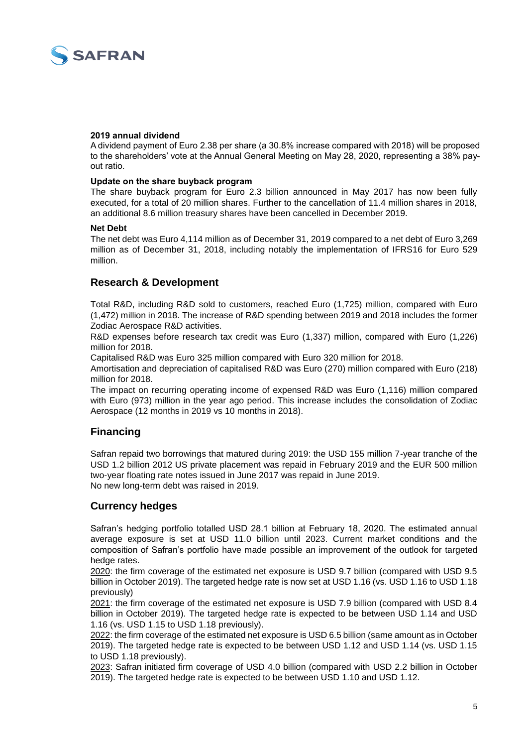

#### **2019 annual dividend**

A dividend payment of Euro 2.38 per share (a 30.8% increase compared with 2018) will be proposed to the shareholders' vote at the Annual General Meeting on May 28, 2020, representing a 38% payout ratio.

#### **Update on the share buyback program**

The share buyback program for Euro 2.3 billion announced in May 2017 has now been fully executed, for a total of 20 million shares. Further to the cancellation of 11.4 million shares in 2018, an additional 8.6 million treasury shares have been cancelled in December 2019.

#### **Net Debt**

The net debt was Euro 4,114 million as of December 31, 2019 compared to a net debt of Euro 3,269 million as of December 31, 2018, including notably the implementation of IFRS16 for Euro 529 million.

#### **Research & Development**

Total R&D, including R&D sold to customers, reached Euro (1,725) million, compared with Euro (1,472) million in 2018. The increase of R&D spending between 2019 and 2018 includes the former Zodiac Aerospace R&D activities.

R&D expenses before research tax credit was Euro (1,337) million, compared with Euro (1,226) million for 2018.

Capitalised R&D was Euro 325 million compared with Euro 320 million for 2018.

Amortisation and depreciation of capitalised R&D was Euro (270) million compared with Euro (218) million for 2018.

The impact on recurring operating income of expensed R&D was Euro (1,116) million compared with Euro (973) million in the year ago period. This increase includes the consolidation of Zodiac Aerospace (12 months in 2019 vs 10 months in 2018).

## **Financing**

Safran repaid two borrowings that matured during 2019: the USD 155 million 7-year tranche of the USD 1.2 billion 2012 US private placement was repaid in February 2019 and the EUR 500 million two-year floating rate notes issued in June 2017 was repaid in June 2019. No new long-term debt was raised in 2019.

## **Currency hedges**

Safran's hedging portfolio totalled USD 28.1 billion at February 18, 2020. The estimated annual average exposure is set at USD 11.0 billion until 2023. Current market conditions and the composition of Safran's portfolio have made possible an improvement of the outlook for targeted hedge rates.

2020: the firm coverage of the estimated net exposure is USD 9.7 billion (compared with USD 9.5 billion in October 2019). The targeted hedge rate is now set at USD 1.16 (vs. USD 1.16 to USD 1.18 previously)

2021: the firm coverage of the estimated net exposure is USD 7.9 billion (compared with USD 8.4 billion in October 2019). The targeted hedge rate is expected to be between USD 1.14 and USD 1.16 (vs. USD 1.15 to USD 1.18 previously).

2022: the firm coverage of the estimated net exposure is USD 6.5 billion (same amount as in October 2019). The targeted hedge rate is expected to be between USD 1.12 and USD 1.14 (vs. USD 1.15 to USD 1.18 previously).

2023: Safran initiated firm coverage of USD 4.0 billion (compared with USD 2.2 billion in October 2019). The targeted hedge rate is expected to be between USD 1.10 and USD 1.12.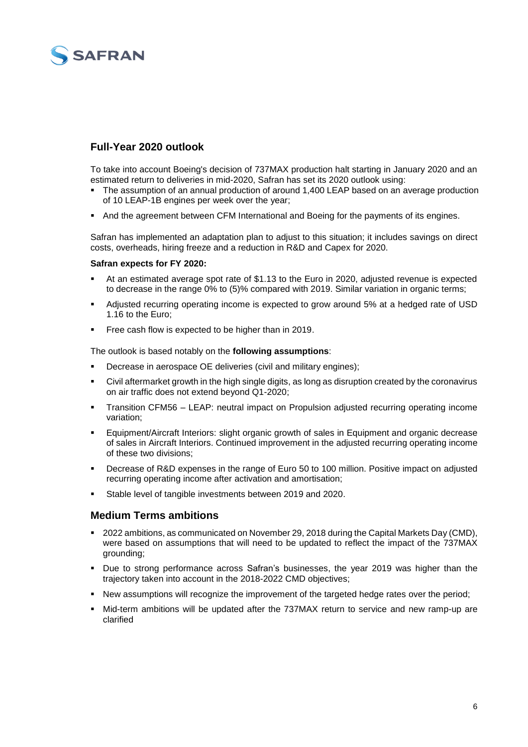# **SAFRAN**

## **Full-Year 2020 outlook**

To take into account Boeing's decision of 737MAX production halt starting in January 2020 and an estimated return to deliveries in mid-2020, Safran has set its 2020 outlook using:

- The assumption of an annual production of around 1,400 LEAP based on an average production of 10 LEAP-1B engines per week over the year;
- And the agreement between CFM International and Boeing for the payments of its engines.

Safran has implemented an adaptation plan to adjust to this situation; it includes savings on direct costs, overheads, hiring freeze and a reduction in R&D and Capex for 2020.

#### **Safran expects for FY 2020:**

- At an estimated average spot rate of \$1.13 to the Euro in 2020, adjusted revenue is expected to decrease in the range 0% to (5)% compared with 2019. Similar variation in organic terms;
- Adjusted recurring operating income is expected to grow around 5% at a hedged rate of USD 1.16 to the Euro;
- Free cash flow is expected to be higher than in 2019.

The outlook is based notably on the **following assumptions**:

- Decrease in aerospace OE deliveries (civil and military engines);
- Civil aftermarket growth in the high single digits, as long as disruption created by the coronavirus on air traffic does not extend beyond Q1-2020;
- Transition CFM56 LEAP: neutral impact on Propulsion adjusted recurring operating income variation;
- Equipment/Aircraft Interiors: slight organic growth of sales in Equipment and organic decrease of sales in Aircraft Interiors. Continued improvement in the adjusted recurring operating income of these two divisions;
- Decrease of R&D expenses in the range of Euro 50 to 100 million. Positive impact on adjusted recurring operating income after activation and amortisation;
- Stable level of tangible investments between 2019 and 2020.

#### **Medium Terms ambitions**

- 2022 ambitions, as communicated on November 29, 2018 during the Capital Markets Day (CMD), were based on assumptions that will need to be updated to reflect the impact of the 737MAX grounding;
- Due to strong performance across Safran's businesses, the year 2019 was higher than the trajectory taken into account in the 2018-2022 CMD objectives;
- New assumptions will recognize the improvement of the targeted hedge rates over the period;
- Mid-term ambitions will be updated after the 737MAX return to service and new ramp-up are clarified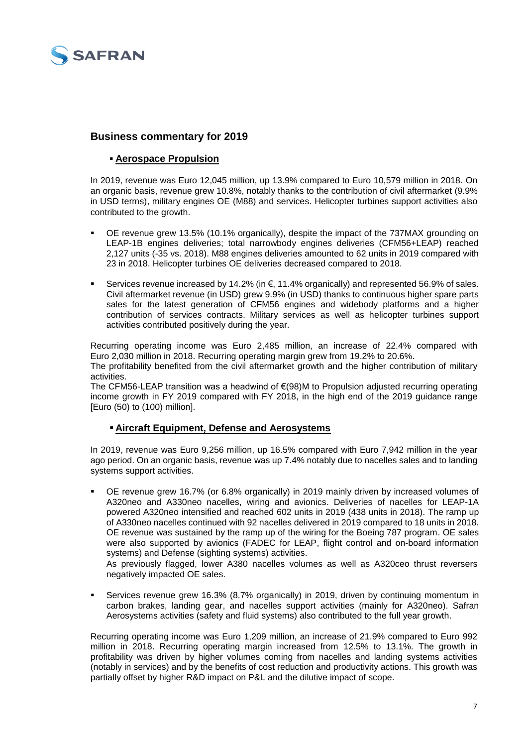

## **Business commentary for 2019**

## **Aerospace Propulsion**

In 2019, revenue was Euro 12,045 million, up 13.9% compared to Euro 10,579 million in 2018. On an organic basis, revenue grew 10.8%, notably thanks to the contribution of civil aftermarket (9.9% in USD terms), military engines OE (M88) and services. Helicopter turbines support activities also contributed to the growth.

- OE revenue grew 13.5% (10.1% organically), despite the impact of the 737MAX grounding on LEAP-1B engines deliveries; total narrowbody engines deliveries (CFM56+LEAP) reached 2,127 units (-35 vs. 2018). M88 engines deliveries amounted to 62 units in 2019 compared with 23 in 2018. Helicopter turbines OE deliveries decreased compared to 2018.
- Services revenue increased by 14.2% (in €, 11.4% organically) and represented 56.9% of sales. Civil aftermarket revenue (in USD) grew 9.9% (in USD) thanks to continuous higher spare parts sales for the latest generation of CFM56 engines and widebody platforms and a higher contribution of services contracts. Military services as well as helicopter turbines support activities contributed positively during the year.

Recurring operating income was Euro 2,485 million, an increase of 22.4% compared with Euro 2,030 million in 2018. Recurring operating margin grew from 19.2% to 20.6%.

The profitability benefited from the civil aftermarket growth and the higher contribution of military activities.

The CFM56-LEAP transition was a headwind of €(98)M to Propulsion adjusted recurring operating income growth in FY 2019 compared with FY 2018, in the high end of the 2019 guidance range [Euro (50) to (100) million].

## **Aircraft Equipment, Defense and Aerosystems**

In 2019, revenue was Euro 9,256 million, up 16.5% compared with Euro 7,942 million in the year ago period. On an organic basis, revenue was up 7.4% notably due to nacelles sales and to landing systems support activities.

 OE revenue grew 16.7% (or 6.8% organically) in 2019 mainly driven by increased volumes of A320neo and A330neo nacelles, wiring and avionics. Deliveries of nacelles for LEAP-1A powered A320neo intensified and reached 602 units in 2019 (438 units in 2018). The ramp up of A330neo nacelles continued with 92 nacelles delivered in 2019 compared to 18 units in 2018. OE revenue was sustained by the ramp up of the wiring for the Boeing 787 program. OE sales were also supported by avionics (FADEC for LEAP, flight control and on-board information systems) and Defense (sighting systems) activities.

As previously flagged, lower A380 nacelles volumes as well as A320ceo thrust reversers negatively impacted OE sales.

 Services revenue grew 16.3% (8.7% organically) in 2019, driven by continuing momentum in carbon brakes, landing gear, and nacelles support activities (mainly for A320neo). Safran Aerosystems activities (safety and fluid systems) also contributed to the full year growth.

Recurring operating income was Euro 1,209 million, an increase of 21.9% compared to Euro 992 million in 2018. Recurring operating margin increased from 12.5% to 13.1%. The growth in profitability was driven by higher volumes coming from nacelles and landing systems activities (notably in services) and by the benefits of cost reduction and productivity actions. This growth was partially offset by higher R&D impact on P&L and the dilutive impact of scope.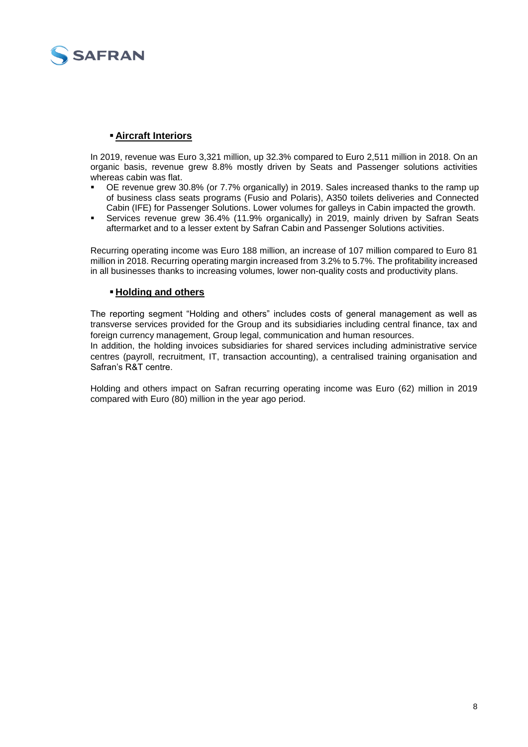

#### **Aircraft Interiors**

In 2019, revenue was Euro 3,321 million, up 32.3% compared to Euro 2,511 million in 2018. On an organic basis, revenue grew 8.8% mostly driven by Seats and Passenger solutions activities whereas cabin was flat.

- OE revenue grew 30.8% (or 7.7% organically) in 2019. Sales increased thanks to the ramp up of business class seats programs (Fusio and Polaris), A350 toilets deliveries and Connected Cabin (IFE) for Passenger Solutions. Lower volumes for galleys in Cabin impacted the growth.
- Services revenue grew 36.4% (11.9% organically) in 2019, mainly driven by Safran Seats aftermarket and to a lesser extent by Safran Cabin and Passenger Solutions activities.

Recurring operating income was Euro 188 million, an increase of 107 million compared to Euro 81 million in 2018. Recurring operating margin increased from 3.2% to 5.7%. The profitability increased in all businesses thanks to increasing volumes, lower non-quality costs and productivity plans.

#### **Holding and others**

The reporting segment "Holding and others" includes costs of general management as well as transverse services provided for the Group and its subsidiaries including central finance, tax and foreign currency management, Group legal, communication and human resources.

In addition, the holding invoices subsidiaries for shared services including administrative service centres (payroll, recruitment, IT, transaction accounting), a centralised training organisation and Safran's R&T centre.

Holding and others impact on Safran recurring operating income was Euro (62) million in 2019 compared with Euro (80) million in the year ago period.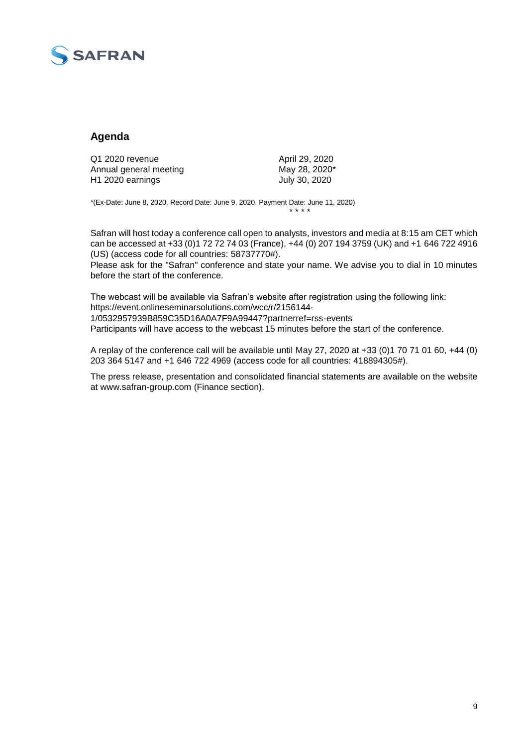

## **Agenda**

| Q1 2020 revenue              | April 29, 2020 |
|------------------------------|----------------|
| Annual general meeting       | May 28, 2020*  |
| H <sub>1</sub> 2020 earnings | July 30, 2020  |

\*(Ex-Date: June 8, 2020, Record Date: June 9, 2020, Payment Date: June 11, 2020) \* \* \* \*

Safran will host today a conference call open to analysts, investors and media at 8:15 am CET which can be accessed at +33 (0)1 72 72 74 03 (France), +44 (0) 207 194 3759 (UK) and +1 646 722 4916 (US) (access code for all countries: 58737770#).

Please ask for the "Safran" conference and state your name. We advise you to dial in 10 minutes before the start of the conference.

The webcast will be available via Safran's website after registration using the following link: https://event.onlineseminarsolutions.com/wcc/r/2156144- 1/0532957939B859C35D16A0A7F9A99447?partnerref=rss-events Participants will have access to the webcast 15 minutes before the start of the conference.

A replay of the conference call will be available until May 27, 2020 at +33 (0)1 70 71 01 60, +44 (0) 203 364 5147 and +1 646 722 4969 (access code for all countries: 418894305#).

The press release, presentation and consolidated financial statements are available on the website at www.safran-group.com (Finance section).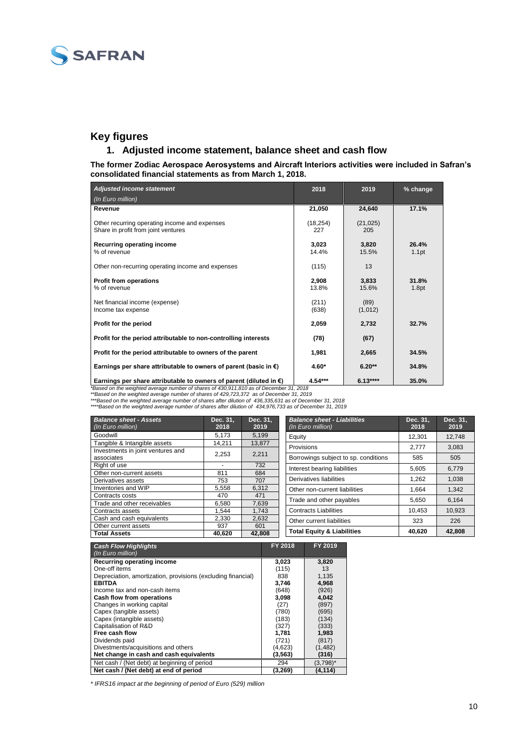

## **Key figures**

#### **1. Adjusted income statement, balance sheet and cash flow**

**The former Zodiac Aerospace Aerosystems and Aircraft Interiors activities were included in Safran's consolidated financial statements as from March 1, 2018.**

| <b>Adjusted income statement</b>                                                     | 2018             | 2019             | % change       |
|--------------------------------------------------------------------------------------|------------------|------------------|----------------|
| (In Euro million)                                                                    |                  |                  |                |
| Revenue                                                                              | 21,050           | 24,640           | 17.1%          |
| Other recurring operating income and expenses<br>Share in profit from joint ventures | (18, 254)<br>227 | (21, 025)<br>205 |                |
| Recurring operating income<br>% of revenue                                           | 3.023<br>14.4%   | 3,820<br>15.5%   | 26.4%<br>1.1pt |
| Other non-recurring operating income and expenses                                    | (115)            | 13               |                |
| <b>Profit from operations</b><br>% of revenue                                        | 2,908<br>13.8%   | 3,833<br>15.6%   | 31.8%<br>1.8pt |
| Net financial income (expense)<br>Income tax expense                                 | (211)<br>(638)   | (89)<br>(1,012)  |                |
| Profit for the period                                                                | 2,059            | 2,732            | 32.7%          |
| Profit for the period attributable to non-controlling interests                      | (78)             | (67)             |                |
| Profit for the period attributable to owners of the parent                           | 1,981            | 2,665            | 34.5%          |
| Earnings per share attributable to owners of parent (basic in $\epsilon$ )           | $4.60*$          | $6.20**$         | 34.8%          |
| Earnings per share attributable to owners of parent (diluted in $\epsilon$ )         | $4.54***$        | $6.13***$        | 35.0%          |

Earnings per share attributable to owners of parent (diluted in  $\xi$ )  $4.54***$  6.13\*\*\*\* [35.0%<br>
"Based on the weighted average number of shares of 430,911,810 as of December 31, 2018<br>
\*\*Based on the weighted average number

| <b>Balance sheet - Assets</b><br>(In Euro million) | Dec. 31,<br>2018 | Dec. 31.<br>2019 | <b>Balance sheet - Liabilities</b><br>(In Euro million) | Dec. 31,<br>2018 | Dec. 31.<br>2019 |
|----------------------------------------------------|------------------|------------------|---------------------------------------------------------|------------------|------------------|
| Goodwill                                           | 5.173            | 5,199            | Equity                                                  | 12.301           | 12,748           |
| Tangible & Intangible assets                       | 14.211           | 13,877           | Provisions                                              | 2.777            | 3.083            |
| Investments in joint ventures and                  | 2.253            | 2,211            |                                                         |                  |                  |
| associates                                         |                  |                  | Borrowings subject to sp. conditions                    | 585              | 505              |
| Right of use                                       |                  | 732              | Interest bearing liabilities                            | 5.605            | 6.779            |
| Other non-current assets                           | 811              | 684              |                                                         |                  |                  |
| Derivatives assets                                 | 753              | 707              | Derivatives liabilities                                 | 1.262            | 1.038            |
| Inventories and WIP                                | 5,558            | 6,312            | Other non-current liabilities                           | 1.664            | 1,342            |
| Contracts costs                                    | 470              | 471              |                                                         |                  |                  |
| Trade and other receivables                        | 6.580            | 7.639            | Trade and other payables                                | 5.650            | 6,164            |
| Contracts assets                                   | 1.544            | 1.743            | <b>Contracts Liabilities</b>                            | 10.453           | 10.923           |
| Cash and cash equivalents                          | 2.330            | 2.632            | Other current liabilities                               | 323              | 226              |
| Other current assets                               | 937              | 601              |                                                         |                  |                  |
| <b>Total Assets</b>                                | 40.620           | 42.808           | <b>Total Equity &amp; Liabilities</b>                   | 40,620           | 42,808           |

| <b>Cash Flow Highlights</b><br>(In Euro million)             | FY 2018 | FY 2019     |
|--------------------------------------------------------------|---------|-------------|
| Recurring operating income                                   | 3,023   | 3,820       |
| One-off items                                                | (115)   | 13          |
| Depreciation, amortization, provisions (excluding financial) | 838     | 1,135       |
| <b>EBITDA</b>                                                | 3,746   | 4,968       |
| Income tax and non-cash items                                | (648)   | (926)       |
| Cash flow from operations                                    | 3,098   | 4,042       |
| Changes in working capital                                   | (27)    | (897)       |
| Capex (tangible assets)                                      | (780)   | (695)       |
| Capex (intangible assets)                                    | (183)   | (134)       |
| Capitalisation of R&D                                        | (327)   | (333)       |
| Free cash flow                                               | 1,781   | 1,983       |
| Dividends paid                                               | (721)   | (817)       |
| Divestments/acquisitions and others                          | (4,623) | (1, 482)    |
| Net change in cash and cash equivalents                      | (3,563) | (316)       |
| Net cash / (Net debt) at beginning of period                 | 294     | $(3,798)^*$ |
| Net cash / (Net debt) at end of period                       | (3,269) | (4, 114)    |

*\* IFRS16 impact at the beginning of period of Euro (529) million*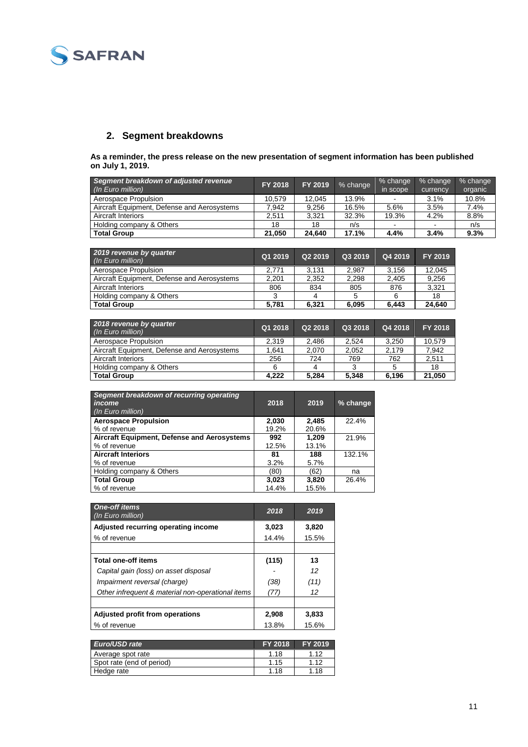

## **2. Segment breakdowns**

**As a reminder, the press release on the new presentation of segment information has been published on July 1, 2019.**

| Segment breakdown of adjusted revenue<br>(In Euro million) | FY 2018 | FY 2019 | % change | % change<br>in scope | % change<br>currency | % change<br>organic |
|------------------------------------------------------------|---------|---------|----------|----------------------|----------------------|---------------------|
| Aerospace Propulsion                                       | 10.579  | 12.045  | 13.9%    |                      | 3.1%                 | 10.8%               |
| Aircraft Equipment, Defense and Aerosystems                | 7.942   | 9.256   | 16.5%    | 5.6%                 | 3.5%                 | 7.4%                |
| <b>Aircraft Interiors</b>                                  | 2.511   | 3.321   | 32.3%    | 19.3%                | 4.2%                 | 8.8%                |
| Holding company & Others                                   | 18      | 18      | n/s      |                      | ٠                    | n/s                 |
| <b>Total Group</b>                                         | 21.050  | 24.640  | 17.1%    | 4.4%                 | 3.4%                 | 9.3%                |

| 2019 revenue by quarter<br>(In Euro million) | Q1 2019 | Q2 2019 | Q3 2019 | Q4 2019 | FY 2019 |
|----------------------------------------------|---------|---------|---------|---------|---------|
| Aerospace Propulsion                         | 2.771   | 3.131   | 2.987   | 3.156   | 12.045  |
| Aircraft Equipment, Defense and Aerosystems  | 2.201   | 2.352   | 2.298   | 2.405   | 9.256   |
| Aircraft Interiors                           | 806     | 834     | 805     | 876     | 3.321   |
| Holding company & Others                     | 2       |         |         | 6       | 18      |
| <b>Total Group</b>                           | 5.781   | 6.321   | 6.095   | 6.443   | 24.640  |

| 2018 revenue by quarter<br>(In Euro million) | Q1 2018 | Q2 2018 | Q3 2018 | Q4 2018 | FY 2018 |
|----------------------------------------------|---------|---------|---------|---------|---------|
| Aerospace Propulsion                         | 2.319   | 2.486   | 2.524   | 3.250   | 10.579  |
| Aircraft Equipment, Defense and Aerosystems  | 1.641   | 2.070   | 2.052   | 2.179   | 7.942   |
| Aircraft Interiors                           | 256     | 724     | 769     | 762     | 2,511   |
| Holding company & Others                     | 6       |         | 3       |         | 18      |
| <b>Total Group</b>                           | 4.222   | 5.284   | 5.348   | 6.196   | 21.050  |

| Segment breakdown of recurring operating<br>income<br>(In Euro million) | 2018  | 2019  | $%$ change |
|-------------------------------------------------------------------------|-------|-------|------------|
| <b>Aerospace Propulsion</b>                                             | 2,030 | 2.485 | 22.4%      |
| % of revenue                                                            | 19.2% | 20.6% |            |
| Aircraft Equipment, Defense and Aerosystems                             | 992   | 1.209 | 21.9%      |
| % of revenue                                                            | 12.5% | 13.1% |            |
| <b>Aircraft Interiors</b>                                               | 81    | 188   | 132.1%     |
| % of revenue                                                            | 3.2%  | 5.7%  |            |
| Holding company & Others                                                | (80)  | (62)  | na         |
| <b>Total Group</b>                                                      | 3,023 | 3,820 | 26.4%      |
| % of revenue                                                            | 14.4% | 15.5% |            |

| <b>One-off items</b><br>(In Euro million)         | 2018  | 2019  |
|---------------------------------------------------|-------|-------|
| Adjusted recurring operating income               | 3,023 | 3,820 |
| % of revenue                                      | 14.4% | 15.5% |
|                                                   |       |       |
| <b>Total one-off items</b>                        | (115) | 13    |
| Capital gain (loss) on asset disposal             |       | 12    |
| Impairment reversal (charge)                      | (38)  | (11)  |
| Other infrequent & material non-operational items | (77)  | 12    |
|                                                   |       |       |
| Adjusted profit from operations                   | 2,908 | 3,833 |
| % of revenue                                      | 13.8% | 15.6% |

| Euro/USD rate             | FY 2018 | <b>FY 2019</b> |
|---------------------------|---------|----------------|
| Average spot rate         | 1.18    | 1.12           |
| Spot rate (end of period) | 1.15    | 1.12           |
| Hedge rate                | 1.18    | 1.18           |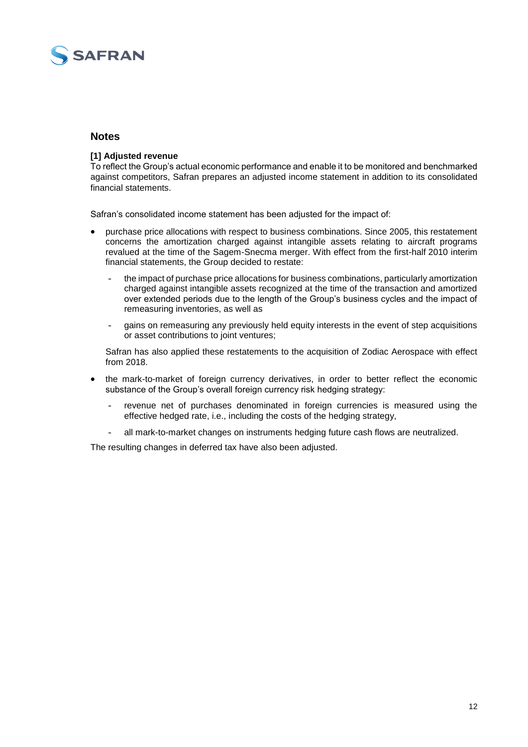

#### **Notes**

#### **[1] Adjusted revenue**

To reflect the Group's actual economic performance and enable it to be monitored and benchmarked against competitors, Safran prepares an adjusted income statement in addition to its consolidated financial statements.

Safran's consolidated income statement has been adjusted for the impact of:

- purchase price allocations with respect to business combinations. Since 2005, this restatement concerns the amortization charged against intangible assets relating to aircraft programs revalued at the time of the Sagem-Snecma merger. With effect from the first-half 2010 interim financial statements, the Group decided to restate:
	- the impact of purchase price allocations for business combinations, particularly amortization charged against intangible assets recognized at the time of the transaction and amortized over extended periods due to the length of the Group's business cycles and the impact of remeasuring inventories, as well as
	- gains on remeasuring any previously held equity interests in the event of step acquisitions or asset contributions to joint ventures;

Safran has also applied these restatements to the acquisition of Zodiac Aerospace with effect from 2018.

- the mark-to-market of foreign currency derivatives, in order to better reflect the economic substance of the Group's overall foreign currency risk hedging strategy:
	- revenue net of purchases denominated in foreign currencies is measured using the effective hedged rate, i.e., including the costs of the hedging strategy,
	- all mark-to-market changes on instruments hedging future cash flows are neutralized.

The resulting changes in deferred tax have also been adjusted.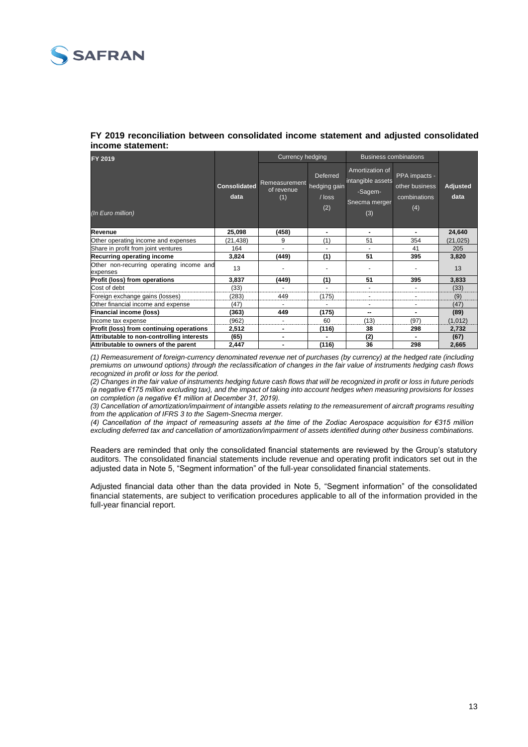

#### **FY 2019 reconciliation between consolidated income statement and adjusted consolidated income statement:**

| FY 2019                                              |                             | <b>Currency hedging</b>            |                                             | <b>Business combinations</b>                                            |                                                        |                  |
|------------------------------------------------------|-----------------------------|------------------------------------|---------------------------------------------|-------------------------------------------------------------------------|--------------------------------------------------------|------------------|
| (In Euro million)                                    | <b>Consolidated</b><br>data | Remeasurement<br>of revenue<br>(1) | Deferred<br>hedging gain<br>$/$ loss<br>(2) | Amortization of<br>intangible assets<br>-Sagem-<br>Snecma merger<br>(3) | PPA impacts -<br>other business<br>combinations<br>(4) | Adjusted<br>data |
| <b>Revenue</b>                                       | 25,098                      | (458)                              | $\blacksquare$                              |                                                                         | ۰.                                                     | 24,640           |
| Other operating income and expenses                  | (21,438)                    | 9                                  | (1)                                         | 51                                                                      | 354                                                    | (21, 025)        |
| Share in profit from joint ventures                  | 164                         |                                    |                                             |                                                                         | 41                                                     | 205              |
| <b>Recurring operating income</b>                    | 3,824                       | (449)                              | (1)                                         | 51                                                                      | 395                                                    | 3.820            |
| Other non-recurring operating income and<br>expenses | 13                          |                                    |                                             |                                                                         |                                                        | 13               |
| <b>Profit (loss) from operations</b>                 | 3,837                       | (449)                              | (1)                                         | 51                                                                      | 395                                                    | 3,833            |
| Cost of debt                                         | (33)                        |                                    |                                             |                                                                         |                                                        | (33)             |
| Foreign exchange gains (losses)                      | (283)                       | 449                                | (175)                                       |                                                                         |                                                        | (9)              |
| Other financial income and expense                   | (47)                        |                                    |                                             |                                                                         |                                                        | (47)             |
| <b>Financial income (loss)</b>                       | (363)                       | 449                                | (175)                                       | --                                                                      |                                                        | (89)             |
| Income tax expense                                   | (962)                       |                                    | 60                                          | (13)                                                                    | (97)                                                   | (1,012)          |
| Profit (loss) from continuing operations             | 2,512                       | ۰                                  | (116)                                       | 38                                                                      | 298                                                    | 2,732            |
| Attributable to non-controlling interests            | (65)                        | ۰                                  | $\blacksquare$                              | (2)                                                                     |                                                        | (67)             |
| Attributable to owners of the parent                 | 2,447                       | ۰                                  | (116)                                       | 36                                                                      | 298                                                    | 2,665            |

*(1) Remeasurement of foreign-currency denominated revenue net of purchases (by currency) at the hedged rate (including premiums on unwound options) through the reclassification of changes in the fair value of instruments hedging cash flows recognized in profit or loss for the period.*

*(2) Changes in the fair value of instruments hedging future cash flows that will be recognized in profit or loss in future periods (a negative €175 million excluding tax), and the impact of taking into account hedges when measuring provisions for losses on completion (a negative €1 million at December 31, 2019).*

*(3) Cancellation of amortization/impairment of intangible assets relating to the remeasurement of aircraft programs resulting from the application of IFRS 3 to the Sagem-Snecma merger.*

*(4) Cancellation of the impact of remeasuring assets at the time of the Zodiac Aerospace acquisition for €315 million excluding deferred tax and cancellation of amortization/impairment of assets identified during other business combinations.*

Readers are reminded that only the consolidated financial statements are reviewed by the Group's statutory auditors. The consolidated financial statements include revenue and operating profit indicators set out in the adjusted data in Note 5, "Segment information" of the full-year consolidated financial statements.

Adjusted financial data other than the data provided in Note 5, "Segment information" of the consolidated financial statements, are subject to verification procedures applicable to all of the information provided in the full-year financial report.